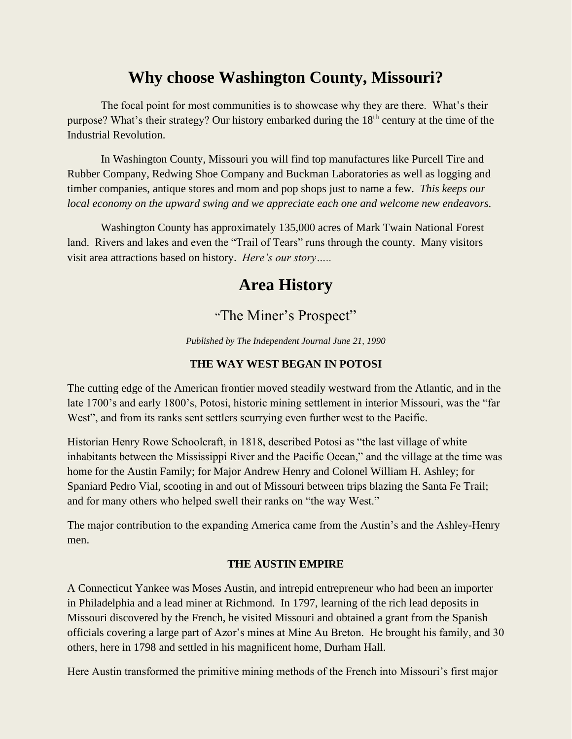## **Why choose Washington County, Missouri?**

The focal point for most communities is to showcase why they are there. What's their purpose? What's their strategy? Our history embarked during the 18<sup>th</sup> century at the time of the Industrial Revolution.

In Washington County, Missouri you will find top manufactures like Purcell Tire and Rubber Company, Redwing Shoe Company and Buckman Laboratories as well as logging and timber companies, antique stores and mom and pop shops just to name a few. *This keeps our local economy on the upward swing and we appreciate each one and welcome new endeavors.*

Washington County has approximately 135,000 acres of Mark Twain National Forest land. Rivers and lakes and even the "Trail of Tears" runs through the county. Many visitors visit area attractions based on history. *Here's our story…..*

# **Area History**

## "The Miner's Prospect"

*Published by The Independent Journal June 21, 1990*

#### **THE WAY WEST BEGAN IN POTOSI**

The cutting edge of the American frontier moved steadily westward from the Atlantic, and in the late 1700's and early 1800's, Potosi, historic mining settlement in interior Missouri, was the "far West", and from its ranks sent settlers scurrying even further west to the Pacific.

Historian Henry Rowe Schoolcraft, in 1818, described Potosi as "the last village of white inhabitants between the Mississippi River and the Pacific Ocean," and the village at the time was home for the Austin Family; for Major Andrew Henry and Colonel William H. Ashley; for Spaniard Pedro Vial, scooting in and out of Missouri between trips blazing the Santa Fe Trail; and for many others who helped swell their ranks on "the way West."

The major contribution to the expanding America came from the Austin's and the Ashley-Henry men.

#### **THE AUSTIN EMPIRE**

A Connecticut Yankee was Moses Austin, and intrepid entrepreneur who had been an importer in Philadelphia and a lead miner at Richmond. In 1797, learning of the rich lead deposits in Missouri discovered by the French, he visited Missouri and obtained a grant from the Spanish officials covering a large part of Azor's mines at Mine Au Breton. He brought his family, and 30 others, here in 1798 and settled in his magnificent home, Durham Hall.

Here Austin transformed the primitive mining methods of the French into Missouri's first major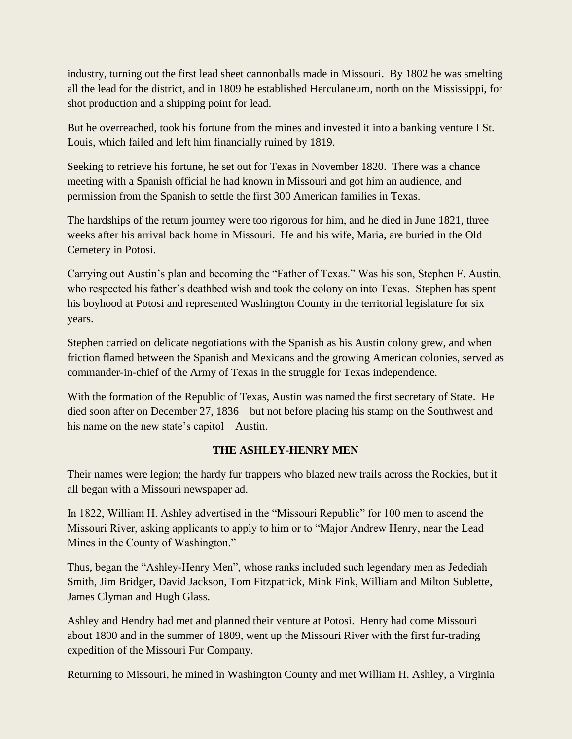industry, turning out the first lead sheet cannonballs made in Missouri. By 1802 he was smelting all the lead for the district, and in 1809 he established Herculaneum, north on the Mississippi, for shot production and a shipping point for lead.

But he overreached, took his fortune from the mines and invested it into a banking venture I St. Louis, which failed and left him financially ruined by 1819.

Seeking to retrieve his fortune, he set out for Texas in November 1820. There was a chance meeting with a Spanish official he had known in Missouri and got him an audience, and permission from the Spanish to settle the first 300 American families in Texas.

The hardships of the return journey were too rigorous for him, and he died in June 1821, three weeks after his arrival back home in Missouri. He and his wife, Maria, are buried in the Old Cemetery in Potosi.

Carrying out Austin's plan and becoming the "Father of Texas." Was his son, Stephen F. Austin, who respected his father's deathbed wish and took the colony on into Texas. Stephen has spent his boyhood at Potosi and represented Washington County in the territorial legislature for six years.

Stephen carried on delicate negotiations with the Spanish as his Austin colony grew, and when friction flamed between the Spanish and Mexicans and the growing American colonies, served as commander-in-chief of the Army of Texas in the struggle for Texas independence.

With the formation of the Republic of Texas, Austin was named the first secretary of State. He died soon after on December 27, 1836 – but not before placing his stamp on the Southwest and his name on the new state's capitol – Austin.

### **THE ASHLEY-HENRY MEN**

Their names were legion; the hardy fur trappers who blazed new trails across the Rockies, but it all began with a Missouri newspaper ad.

In 1822, William H. Ashley advertised in the "Missouri Republic" for 100 men to ascend the Missouri River, asking applicants to apply to him or to "Major Andrew Henry, near the Lead Mines in the County of Washington."

Thus, began the "Ashley-Henry Men", whose ranks included such legendary men as Jedediah Smith, Jim Bridger, David Jackson, Tom Fitzpatrick, Mink Fink, William and Milton Sublette, James Clyman and Hugh Glass.

Ashley and Hendry had met and planned their venture at Potosi. Henry had come Missouri about 1800 and in the summer of 1809, went up the Missouri River with the first fur-trading expedition of the Missouri Fur Company.

Returning to Missouri, he mined in Washington County and met William H. Ashley, a Virginia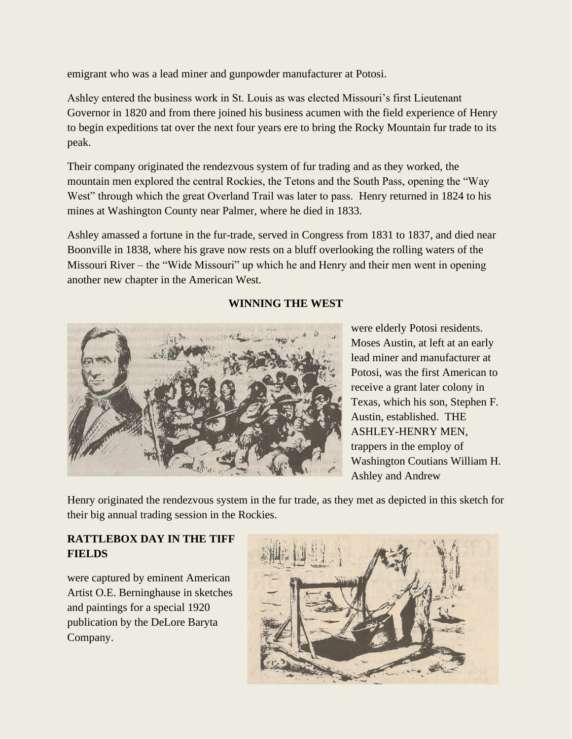emigrant who was a lead miner and gunpowder manufacturer at Potosi.

Ashley entered the business work in St. Louis as was elected Missouri's first Lieutenant Governor in 1820 and from there joined his business acumen with the field experience of Henry to begin expeditions tat over the next four years ere to bring the Rocky Mountain fur trade to its peak.

Their company originated the rendezvous system of fur trading and as they worked, the mountain men explored the central Rockies, the Tetons and the South Pass, opening the "Way West" through which the great Overland Trail was later to pass. Henry returned in 1824 to his mines at Washington County near Palmer, where he died in 1833.

Ashley amassed a fortune in the fur-trade, served in Congress from 1831 to 1837, and died near Boonville in 1838, where his grave now rests on a bluff overlooking the rolling waters of the Missouri River – the "Wide Missouri" up which he and Henry and their men went in opening another new chapter in the American West.

## **WINNING THE WEST**



were elderly Potosi residents. Moses Austin, at left at an early lead miner and manufacturer at Potosi, was the first American to receive a grant later colony in Texas, which his son, Stephen F. Austin, established. THE ASHLEY-HENRY MEN, trappers in the employ of Washington Coutians William H. Ashley and Andrew

Henry originated the rendezvous system in the fur trade, as they met as depicted in this sketch for their big annual trading session in the Rockies.

## **RATTLEBOX DAY IN THE TIFF FIELDS**

were captured by eminent American Artist O.E. Berninghause in sketches and paintings for a special 1920 publication by the DeLore Baryta Company.

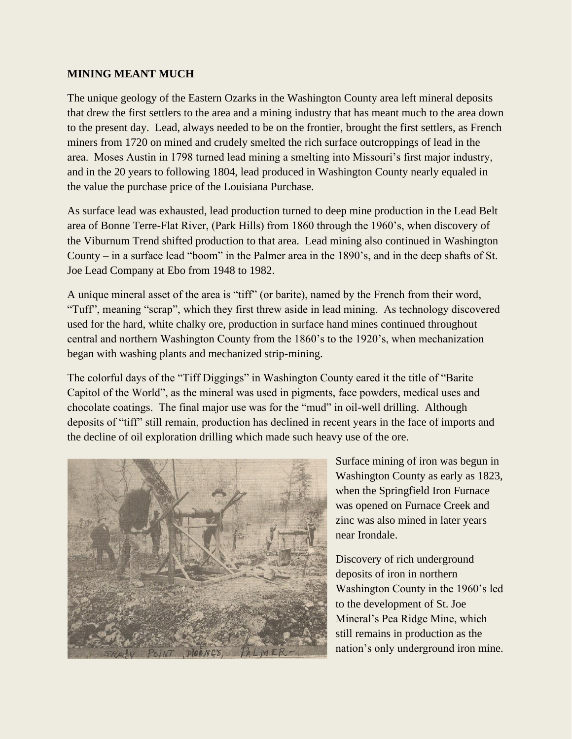#### **MINING MEANT MUCH**

The unique geology of the Eastern Ozarks in the Washington County area left mineral deposits that drew the first settlers to the area and a mining industry that has meant much to the area down to the present day. Lead, always needed to be on the frontier, brought the first settlers, as French miners from 1720 on mined and crudely smelted the rich surface outcroppings of lead in the area. Moses Austin in 1798 turned lead mining a smelting into Missouri's first major industry, and in the 20 years to following 1804, lead produced in Washington County nearly equaled in the value the purchase price of the Louisiana Purchase.

As surface lead was exhausted, lead production turned to deep mine production in the Lead Belt area of Bonne Terre-Flat River, (Park Hills) from 1860 through the 1960's, when discovery of the Viburnum Trend shifted production to that area. Lead mining also continued in Washington County – in a surface lead "boom" in the Palmer area in the 1890's, and in the deep shafts of St. Joe Lead Company at Ebo from 1948 to 1982.

A unique mineral asset of the area is "tiff" (or barite), named by the French from their word, "Tuff", meaning "scrap", which they first threw aside in lead mining. As technology discovered used for the hard, white chalky ore, production in surface hand mines continued throughout central and northern Washington County from the 1860's to the 1920's, when mechanization began with washing plants and mechanized strip-mining.

The colorful days of the "Tiff Diggings" in Washington County eared it the title of "Barite Capitol of the World", as the mineral was used in pigments, face powders, medical uses and chocolate coatings. The final major use was for the "mud" in oil-well drilling. Although deposits of "tiff" still remain, production has declined in recent years in the face of imports and the decline of oil exploration drilling which made such heavy use of the ore.



Surface mining of iron was begun in Washington County as early as 1823, when the Springfield Iron Furnace was opened on Furnace Creek and zinc was also mined in later years near Irondale.

Discovery of rich underground deposits of iron in northern Washington County in the 1960's led to the development of St. Joe Mineral's Pea Ridge Mine, which still remains in production as the nation's only underground iron mine.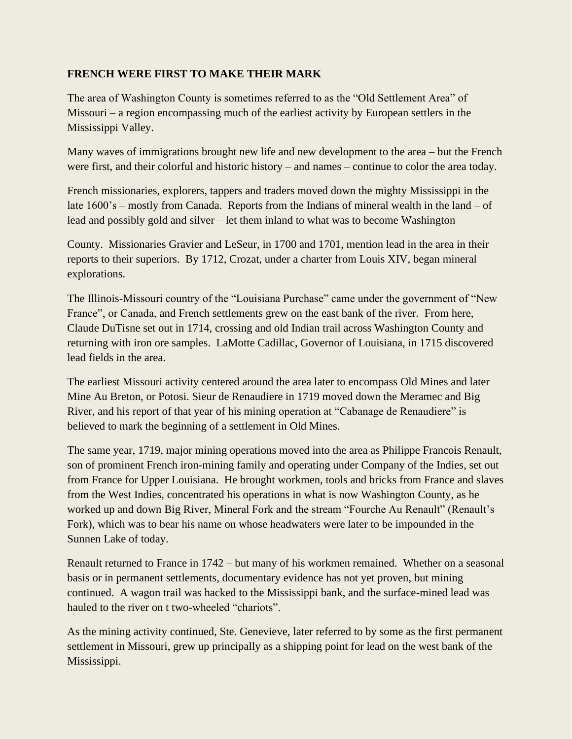### **FRENCH WERE FIRST TO MAKE THEIR MARK**

The area of Washington County is sometimes referred to as the "Old Settlement Area" of Missouri – a region encompassing much of the earliest activity by European settlers in the Mississippi Valley.

Many waves of immigrations brought new life and new development to the area – but the French were first, and their colorful and historic history – and names – continue to color the area today.

French missionaries, explorers, tappers and traders moved down the mighty Mississippi in the late 1600's – mostly from Canada. Reports from the Indians of mineral wealth in the land – of lead and possibly gold and silver – let them inland to what was to become Washington

County. Missionaries Gravier and LeSeur, in 1700 and 1701, mention lead in the area in their reports to their superiors. By 1712, Crozat, under a charter from Louis XIV, began mineral explorations.

The Illinois-Missouri country of the "Louisiana Purchase" came under the government of "New France", or Canada, and French settlements grew on the east bank of the river. From here, Claude DuTisne set out in 1714, crossing and old Indian trail across Washington County and returning with iron ore samples. LaMotte Cadillac, Governor of Louisiana, in 1715 discovered lead fields in the area.

The earliest Missouri activity centered around the area later to encompass Old Mines and later Mine Au Breton, or Potosi. Sieur de Renaudiere in 1719 moved down the Meramec and Big River, and his report of that year of his mining operation at "Cabanage de Renaudiere" is believed to mark the beginning of a settlement in Old Mines.

The same year, 1719, major mining operations moved into the area as Philippe Francois Renault, son of prominent French iron-mining family and operating under Company of the Indies, set out from France for Upper Louisiana. He brought workmen, tools and bricks from France and slaves from the West Indies, concentrated his operations in what is now Washington County, as he worked up and down Big River, Mineral Fork and the stream "Fourche Au Renault" (Renault's Fork), which was to bear his name on whose headwaters were later to be impounded in the Sunnen Lake of today.

Renault returned to France in 1742 – but many of his workmen remained. Whether on a seasonal basis or in permanent settlements, documentary evidence has not yet proven, but mining continued. A wagon trail was hacked to the Mississippi bank, and the surface-mined lead was hauled to the river on t two-wheeled "chariots".

As the mining activity continued, Ste. Genevieve, later referred to by some as the first permanent settlement in Missouri, grew up principally as a shipping point for lead on the west bank of the Mississippi.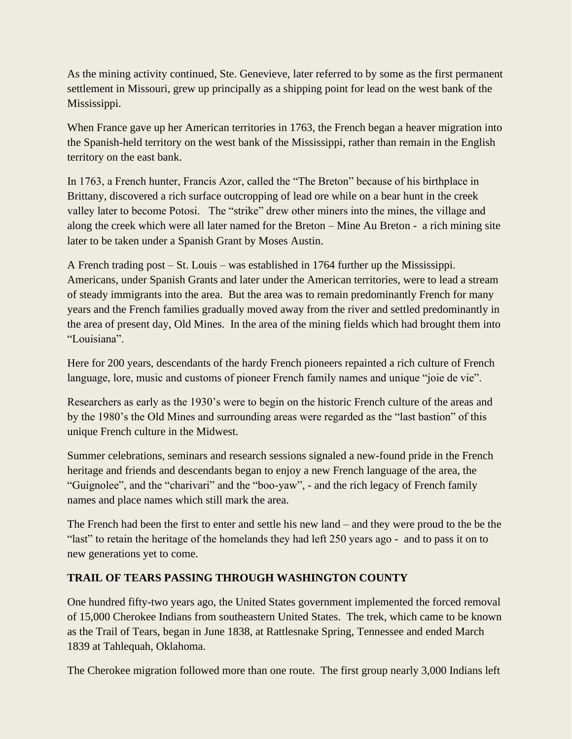As the mining activity continued, Ste. Genevieve, later referred to by some as the first permanent settlement in Missouri, grew up principally as a shipping point for lead on the west bank of the Mississippi.

When France gave up her American territories in 1763, the French began a heaver migration into the Spanish-held territory on the west bank of the Mississippi, rather than remain in the English territory on the east bank.

In 1763, a French hunter, Francis Azor, called the "The Breton" because of his birthplace in Brittany, discovered a rich surface outcropping of lead ore while on a bear hunt in the creek valley later to become Potosi. The "strike" drew other miners into the mines, the village and along the creek which were all later named for the Breton – Mine Au Breton - a rich mining site later to be taken under a Spanish Grant by Moses Austin.

A French trading post – St. Louis – was established in 1764 further up the Mississippi. Americans, under Spanish Grants and later under the American territories, were to lead a stream of steady immigrants into the area. But the area was to remain predominantly French for many years and the French families gradually moved away from the river and settled predominantly in the area of present day, Old Mines. In the area of the mining fields which had brought them into "Louisiana".

Here for 200 years, descendants of the hardy French pioneers repainted a rich culture of French language, lore, music and customs of pioneer French family names and unique "joie de vie".

Researchers as early as the 1930's were to begin on the historic French culture of the areas and by the 1980's the Old Mines and surrounding areas were regarded as the "last bastion" of this unique French culture in the Midwest.

Summer celebrations, seminars and research sessions signaled a new-found pride in the French heritage and friends and descendants began to enjoy a new French language of the area, the "Guignolee", and the "charivari" and the "boo-yaw", - and the rich legacy of French family names and place names which still mark the area.

The French had been the first to enter and settle his new land – and they were proud to the be the "last" to retain the heritage of the homelands they had left 250 years ago - and to pass it on to new generations yet to come.

## **TRAIL OF TEARS PASSING THROUGH WASHINGTON COUNTY**

One hundred fifty-two years ago, the United States government implemented the forced removal of 15,000 Cherokee Indians from southeastern United States. The trek, which came to be known as the Trail of Tears, began in June 1838, at Rattlesnake Spring, Tennessee and ended March 1839 at Tahlequah, Oklahoma.

The Cherokee migration followed more than one route. The first group nearly 3,000 Indians left